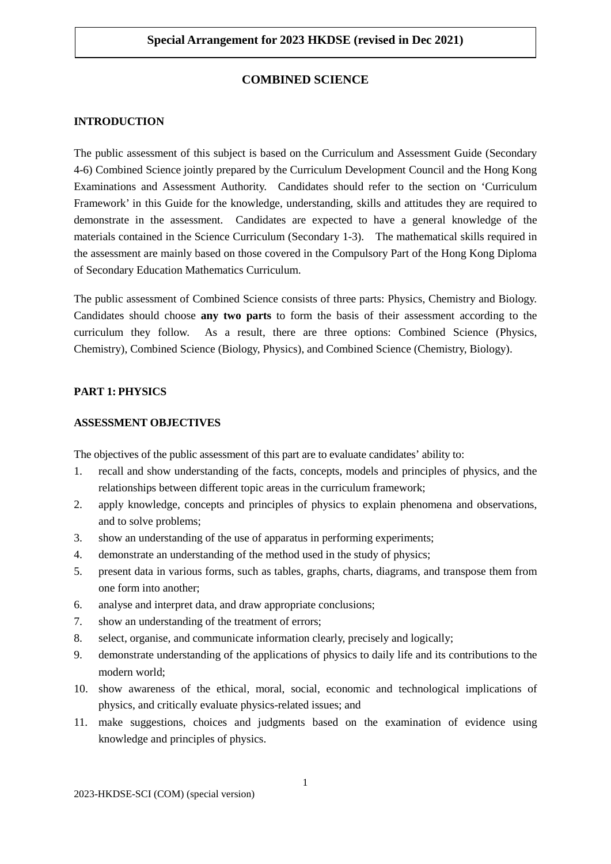# **COMBINED SCIENCE**

### **INTRODUCTION**

The public assessment of this subject is based on the Curriculum and Assessment Guide (Secondary 4-6) Combined Science jointly prepared by the Curriculum Development Council and the Hong Kong Examinations and Assessment Authority. Candidates should refer to the section on 'Curriculum Framework' in this Guide for the knowledge, understanding, skills and attitudes they are required to demonstrate in the assessment. Candidates are expected to have a general knowledge of the materials contained in the Science Curriculum (Secondary 1-3). The mathematical skills required in the assessment are mainly based on those covered in the Compulsory Part of the Hong Kong Diploma of Secondary Education Mathematics Curriculum.

The public assessment of Combined Science consists of three parts: Physics, Chemistry and Biology. Candidates should choose **any two parts** to form the basis of their assessment according to the curriculum they follow. As a result, there are three options: Combined Science (Physics, Chemistry), Combined Science (Biology, Physics), and Combined Science (Chemistry, Biology).

# **PART 1: PHYSICS**

# **ASSESSMENT OBJECTIVES**

The objectives of the public assessment of this part are to evaluate candidates' ability to:

- 1. recall and show understanding of the facts, concepts, models and principles of physics, and the relationships between different topic areas in the curriculum framework;
- 2. apply knowledge, concepts and principles of physics to explain phenomena and observations, and to solve problems;
- 3. show an understanding of the use of apparatus in performing experiments;
- 4. demonstrate an understanding of the method used in the study of physics;
- 5. present data in various forms, such as tables, graphs, charts, diagrams, and transpose them from one form into another;
- 6. analyse and interpret data, and draw appropriate conclusions;
- 7. show an understanding of the treatment of errors;
- 8. select, organise, and communicate information clearly, precisely and logically;
- 9. demonstrate understanding of the applications of physics to daily life and its contributions to the modern world;
- 10. show awareness of the ethical, moral, social, economic and technological implications of physics, and critically evaluate physics-related issues; and
- 11. make suggestions, choices and judgments based on the examination of evidence using knowledge and principles of physics.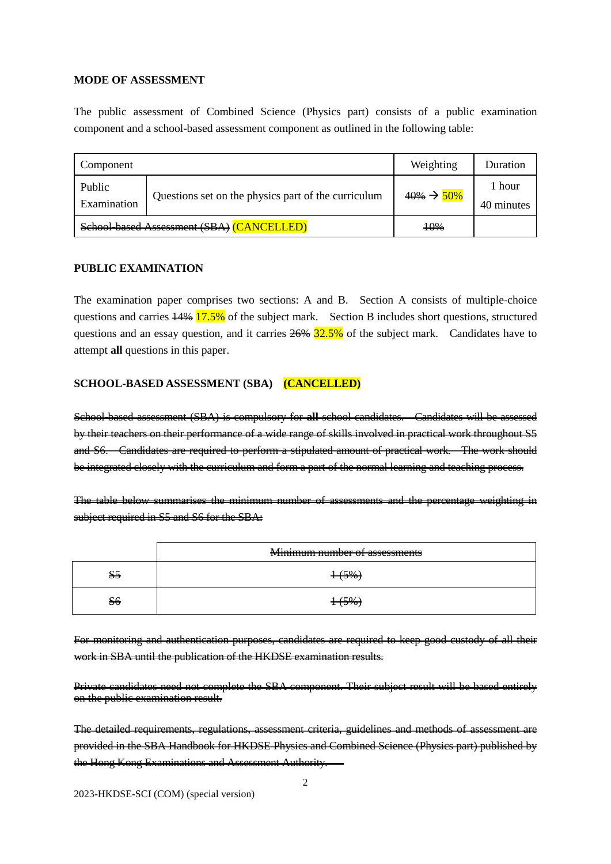#### **MODE OF ASSESSMENT**

The public assessment of Combined Science (Physics part) consists of a public examination component and a school-based assessment component as outlined in the following table:

| Component                                 |                                                     | Weighting               | Duration             |
|-------------------------------------------|-----------------------------------------------------|-------------------------|----------------------|
| Public<br>Examination                     | Questions set on the physics part of the curriculum | $40\% \rightarrow 50\%$ | 1 hour<br>40 minutes |
| School-based Assessment (SBA) (CANCELLED) |                                                     | 10%                     |                      |

## **PUBLIC EXAMINATION**

The examination paper comprises two sections: A and B. Section A consists of multiple-choice questions and carries  $\frac{144}{17.5\%}$  of the subject mark. Section B includes short questions, structured questions and an essay question, and it carries  $\frac{26}{10}$  32.5% of the subject mark. Candidates have to attempt **all** questions in this paper.

#### **SCHOOL-BASED ASSESSMENT (SBA) (CANCELLED)**

School-based assessment (SBA) is compulsory for **all** school candidates. Candidates will be assessed by their teachers on their performance of a wide range of skills involved in practical work throughout S5 and S6. Candidates are required to perform a stipulated amount of practical work. The work should be integrated closely with the curriculum and form a part of the normal learning and teaching process.

The table below summarises the minimum number of assessments and the percentage weighting in subject required in S5 and S6 for the SBA:

|           | Minimum number of assessments |  |
|-----------|-------------------------------|--|
| $55$      | - (5%                         |  |
| <b>S6</b> | $+5\%$                        |  |

For monitoring and authentication purposes, candidates are required to keep good custody of all their work in SBA until the publication of the HKDSE examination results.

Private candidates need not complete the SBA component. Their subject result will be based entirely on the public examination result.

The detailed requirements, regulations, assessment criteria, guidelines and methods of assessment are provided in the SBA Handbook for HKDSE Physics and Combined Science (Physics part) published by the Hong Kong Examinations and Assessment Authority.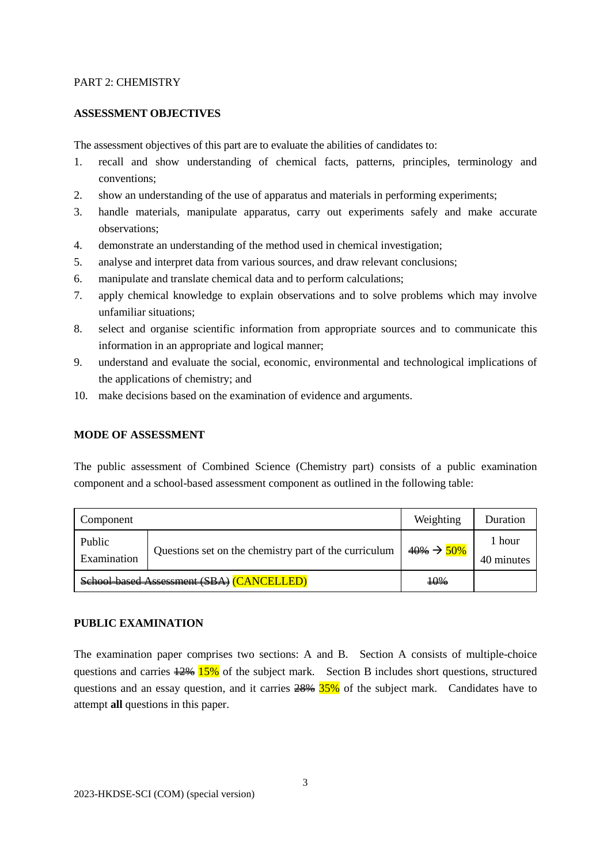## PART 2: CHEMISTRY

## **ASSESSMENT OBJECTIVES**

The assessment objectives of this part are to evaluate the abilities of candidates to:

- 1. recall and show understanding of chemical facts, patterns, principles, terminology and conventions;
- 2. show an understanding of the use of apparatus and materials in performing experiments;
- 3. handle materials, manipulate apparatus, carry out experiments safely and make accurate observations;
- 4. demonstrate an understanding of the method used in chemical investigation;
- 5. analyse and interpret data from various sources, and draw relevant conclusions;
- 6. manipulate and translate chemical data and to perform calculations;
- 7. apply chemical knowledge to explain observations and to solve problems which may involve unfamiliar situations;
- 8. select and organise scientific information from appropriate sources and to communicate this information in an appropriate and logical manner;
- 9. understand and evaluate the social, economic, environmental and technological implications of the applications of chemistry; and
- 10. make decisions based on the examination of evidence and arguments.

## **MODE OF ASSESSMENT**

The public assessment of Combined Science (Chemistry part) consists of a public examination component and a school-based assessment component as outlined in the following table:

| Component                                 |                                                       | Weighting               | Duration             |
|-------------------------------------------|-------------------------------------------------------|-------------------------|----------------------|
| Public<br>Examination                     | Questions set on the chemistry part of the curriculum | $40\% \rightarrow 50\%$ | 1 hour<br>40 minutes |
| School-based Assessment (SBA) (CANCELLED) |                                                       | 10%                     |                      |

# **PUBLIC EXAMINATION**

The examination paper comprises two sections: A and B. Section A consists of multiple-choice questions and carries  $\frac{12\%}{15\%}$  of the subject mark. Section B includes short questions, structured questions and an essay question, and it carries  $\frac{28\%}{15\%}$  of the subject mark. Candidates have to attempt **all** questions in this paper.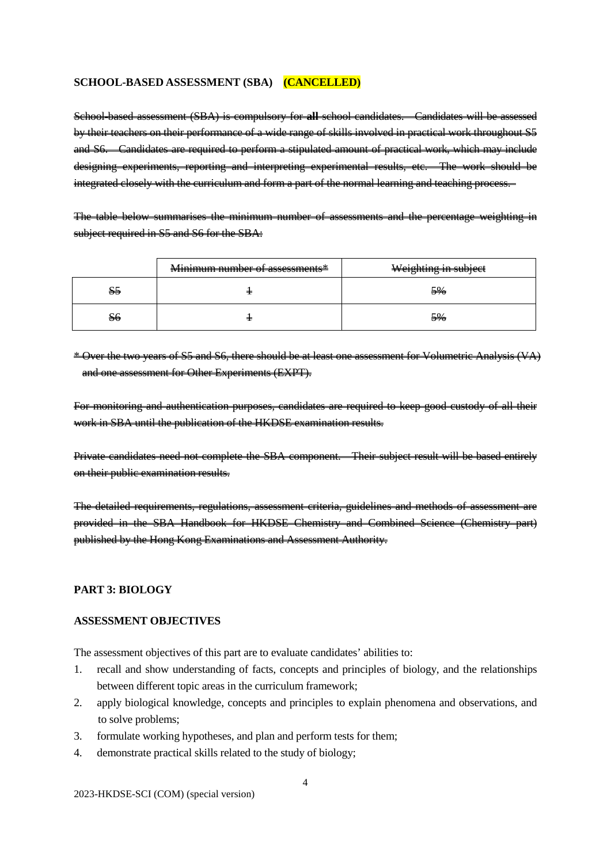#### **SCHOOL-BASED ASSESSMENT (SBA) (CANCELLED)**

School-based assessment (SBA) is compulsory for **all** school candidates. Candidates will be assessed by their teachers on their performance of a wide range of skills involved in practical work throughout S5 and S6. Candidates are required to perform a stipulated amount of practical work, which may include designing experiments, reporting and interpreting experimental results, etc. The work should be integrated closely with the curriculum and form a part of the normal learning and teaching process.

The table below summarises the minimum number of assessments and the percentage weighting in subject required in S5 and S6 for the SBA:

|                | Minimum number of assessments* | Weighting in subject |
|----------------|--------------------------------|----------------------|
| S <sub>5</sub> |                                | 5%                   |
| \$6            |                                | 5%                   |

 $*$  Over the two years of S5 and S6, there should be at least one assessment for Volumetric Analysis (VA) and one assessment for Other Experiments (EXPT).

For monitoring and authentication purposes, candidates are required to keep good custody of all their work in SBA until the publication of the HKDSE examination results.

Private candidates need not complete the SBA component. Their subject result will be based entirely on their public examination results.

The detailed requirements, regulations, assessment criteria, guidelines and methods of assessment are provided in the SBA Handbook for HKDSE Chemistry and Combined Science (Chemistry part) published by the Hong Kong Examinations and Assessment Authority.

### **PART 3: BIOLOGY**

#### **ASSESSMENT OBJECTIVES**

The assessment objectives of this part are to evaluate candidates' abilities to:

- 1. recall and show understanding of facts, concepts and principles of biology, and the relationships between different topic areas in the curriculum framework;
- 2. apply biological knowledge, concepts and principles to explain phenomena and observations, and to solve problems;
- 3. formulate working hypotheses, and plan and perform tests for them;
- 4. demonstrate practical skills related to the study of biology;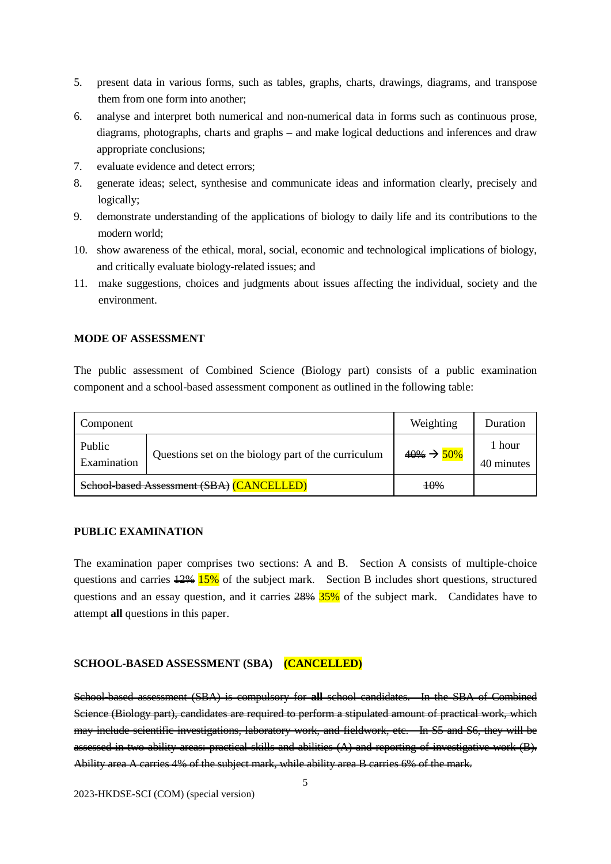- 5. present data in various forms, such as tables, graphs, charts, drawings, diagrams, and transpose them from one form into another;
- 6. analyse and interpret both numerical and non-numerical data in forms such as continuous prose, diagrams, photographs, charts and graphs – and make logical deductions and inferences and draw appropriate conclusions;
- 7. evaluate evidence and detect errors;
- 8. generate ideas; select, synthesise and communicate ideas and information clearly, precisely and logically;
- 9. demonstrate understanding of the applications of biology to daily life and its contributions to the modern world;
- 10. show awareness of the ethical, moral, social, economic and technological implications of biology, and critically evaluate biology-related issues; and
- 11. make suggestions, choices and judgments about issues affecting the individual, society and the environment.

### **MODE OF ASSESSMENT**

The public assessment of Combined Science (Biology part) consists of a public examination component and a school-based assessment component as outlined in the following table:

| Component                                 |                                                     | Weighting        | Duration             |
|-------------------------------------------|-----------------------------------------------------|------------------|----------------------|
| Public<br>Examination                     | Questions set on the biology part of the curriculum | $40\% \div 50\%$ | 1 hour<br>40 minutes |
| School-based Assessment (SBA) (CANCELLED) |                                                     | <del>10%</del>   |                      |

#### **PUBLIC EXAMINATION**

The examination paper comprises two sections: A and B. Section A consists of multiple-choice questions and carries  $\frac{12\%}{15\%}$  of the subject mark. Section B includes short questions, structured questions and an essay question, and it carries  $\frac{28}{15}$  of the subject mark. Candidates have to attempt **all** questions in this paper.

#### **SCHOOL-BASED ASSESSMENT (SBA) (CANCELLED)**

School-based assessment (SBA) is compulsory for **all** school candidates. In the SBA of Combined Science (Biology part), candidates are required to perform a stipulated amount of practical work, which may include scientific investigations, laboratory work, and fieldwork, etc. In S5 and S6, they will be assessed in two ability areas: practical skills and abilities (A) and reporting of investigative work (B). Ability area A carries 4% of the subject mark, while ability area B carries 6% of the mark.